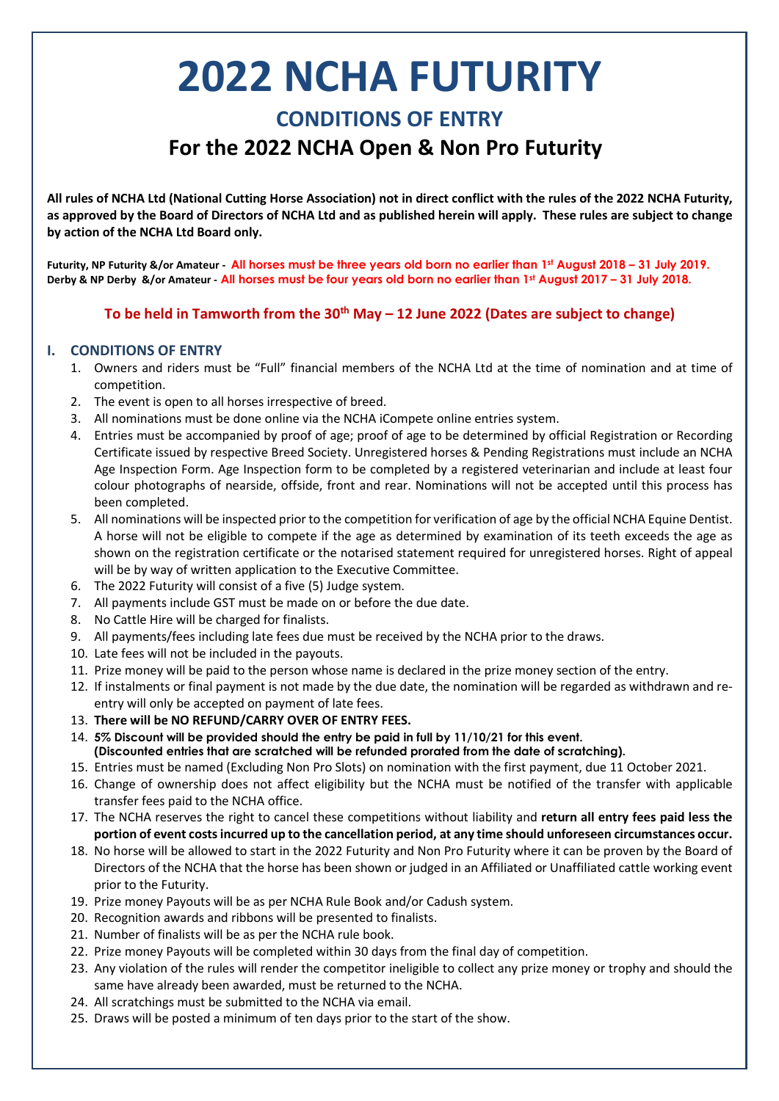# **2022 NCHA FUTURITY CONDITIONS OF ENTRY For the 2022 NCHA Open & Non Pro Futurity**

**All rules of NCHA Ltd (National Cutting Horse Association) not in direct conflict with the rules of the 2022 NCHA Futurity, as approved by the Board of Directors of NCHA Ltd and as published herein will apply. These rules are subject to change by action of the NCHA Ltd Board only.**

**Futurity, NP Futurity &/or Amateur - All horses must be three years old born no earlier than 1st August 2018 – 31 July 2019. Derby & NP Derby &/or Amateur - All horses must be four years old born no earlier than 1st August 2017 – 31 July 2018.**

## **To be held in Tamworth from the 30th May – 12 June 2022 (Dates are subject to change)**

#### **I. CONDITIONS OF ENTRY**

- 1. Owners and riders must be "Full" financial members of the NCHA Ltd at the time of nomination and at time of competition.
- 2. The event is open to all horses irrespective of breed.
- 3. All nominations must be done online via the NCHA iCompete online entries system.
- 4. Entries must be accompanied by proof of age; proof of age to be determined by official Registration or Recording Certificate issued by respective Breed Society. Unregistered horses & Pending Registrations must include an NCHA Age Inspection Form. Age Inspection form to be completed by a registered veterinarian and include at least four colour photographs of nearside, offside, front and rear. Nominations will not be accepted until this process has been completed.
- 5. All nominations will be inspected prior to the competition for verification of age by the official NCHA Equine Dentist. A horse will not be eligible to compete if the age as determined by examination of its teeth exceeds the age as shown on the registration certificate or the notarised statement required for unregistered horses. Right of appeal will be by way of written application to the Executive Committee.
- 6. The 2022 Futurity will consist of a five (5) Judge system.
- 7. All payments include GST must be made on or before the due date.
- 8. No Cattle Hire will be charged for finalists.
- 9. All payments/fees including late fees due must be received by the NCHA prior to the draws.
- 10. Late fees will not be included in the payouts.
- 11. Prize money will be paid to the person whose name is declared in the prize money section of the entry.
- 12. If instalments or final payment is not made by the due date, the nomination will be regarded as withdrawn and reentry will only be accepted on payment of late fees.
- 13. **There will be NO REFUND/CARRY OVER OF ENTRY FEES.**
- 14. **5% Discount will be provided should the entry be paid in full by 11/10/21 for this event. (Discounted entries that are scratched will be refunded prorated from the date of scratching).**
- 15. Entries must be named (Excluding Non Pro Slots) on nomination with the first payment, due 11 October 2021.
- 16. Change of ownership does not affect eligibility but the NCHA must be notified of the transfer with applicable transfer fees paid to the NCHA office.
- 17. The NCHA reserves the right to cancel these competitions without liability and **return all entry fees paid less the portion of event costs incurred up to the cancellation period, at any time should unforeseen circumstances occur.**
- 18. No horse will be allowed to start in the 2022 Futurity and Non Pro Futurity where it can be proven by the Board of Directors of the NCHA that the horse has been shown or judged in an Affiliated or Unaffiliated cattle working event prior to the Futurity.
- 19. Prize money Payouts will be as per NCHA Rule Book and/or Cadush system.
- 20. Recognition awards and ribbons will be presented to finalists.
- 21. Number of finalists will be as per the NCHA rule book.
- 22. Prize money Payouts will be completed within 30 days from the final day of competition.
- 23. Any violation of the rules will render the competitor ineligible to collect any prize money or trophy and should the same have already been awarded, must be returned to the NCHA.
- 24. All scratchings must be submitted to the NCHA via email.
- 25. Draws will be posted a minimum of ten days prior to the start of the show.